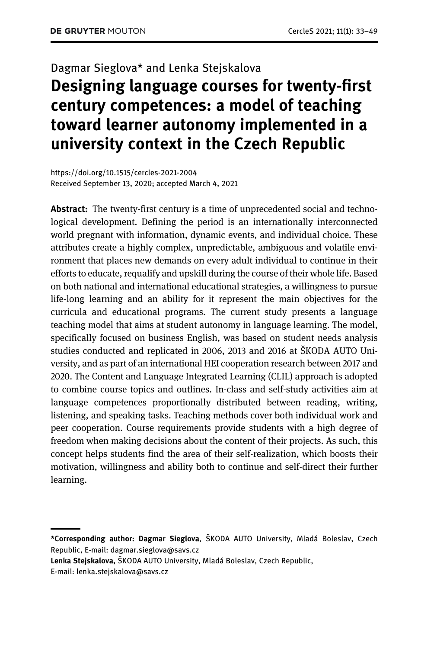# Dagmar Sieglova\* and Lenka Stejskalova

## Designing language courses for twenty-first century competences: a model of teaching toward learner autonomy implemented in a university context in the Czech Republic

<https://doi.org/10.1515/cercles-2021-2004> Received September 13, 2020; accepted March 4, 2021

Abstract: The twenty-first century is a time of unprecedented social and technological development. Defining the period is an internationally interconnected world pregnant with information, dynamic events, and individual choice. These attributes create a highly complex, unpredictable, ambiguous and volatile environment that places new demands on every adult individual to continue in their efforts to educate, requalify and upskill during the course of their whole life. Based on both national and international educational strategies, a willingness to pursue life-long learning and an ability for it represent the main objectives for the curricula and educational programs. The current study presents a language teaching model that aims at student autonomy in language learning. The model, specifically focused on business English, was based on student needs analysis studies conducted and replicated in 2006, 2013 and 2016 at ŠKODA AUTO University, and as part of an international HEI cooperation research between 2017 and 2020. The Content and Language Integrated Learning (CLIL) approach is adopted to combine course topics and outlines. In-class and self-study activities aim at language competences proportionally distributed between reading, writing, listening, and speaking tasks. Teaching methods cover both individual work and peer cooperation. Course requirements provide students with a high degree of freedom when making decisions about the content of their projects. As such, this concept helps students find the area of their self-realization, which boosts their motivation, willingness and ability both to continue and self-direct their further learning.

Lenka Stejskalova, ŠKODA AUTO University, Mladá Boleslav, Czech Republic,

<sup>\*</sup>Corresponding author: Dagmar Sieglova, ŠKODA AUTO University, Mladá Boleslav, Czech Republic, E-mail: [dagmar.sieglova@savs.cz](mailto:dagmar.sieglova@savs.cz)

E-mail: [lenka.stejskalova@savs.cz](mailto:lenka.stejskalova@savs.cz)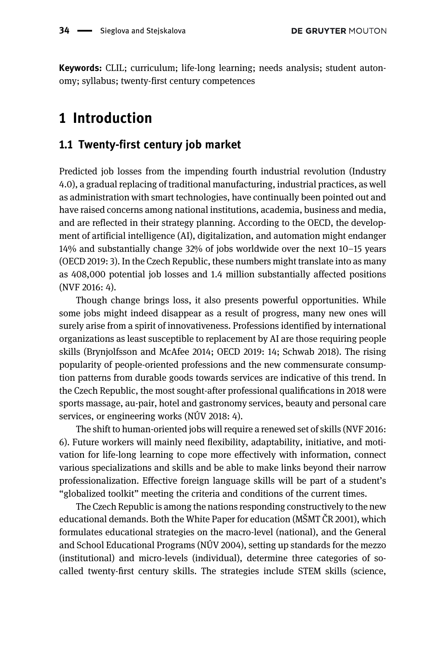Keywords: CLIL; curriculum; life-long learning; needs analysis; student autonomy; syllabus; twenty-first century competences

### 1 Introduction

### 1.1 Twenty-first century job market

Predicted job losses from the impending fourth industrial revolution (Industry 4.0), a gradual replacing of traditional manufacturing, industrial practices, as well as administration with smart technologies, have continually been pointed out and have raised concerns among national institutions, academia, business and media, and are reflected in their strategy planning. According to the OECD, the development of artificial intelligence (AI), digitalization, and automation might endanger 14% and substantially change 32% of jobs worldwide over the next 10–15 years ([OECD 2019](#page-16-0): 3). In the Czech Republic, these numbers might translate into as many as 408,000 potential job losses and 1.4 million substantially affected positions ([NVF 2016:](#page-16-1) 4).

Though change brings loss, it also presents powerful opportunities. While some jobs might indeed disappear as a result of progress, many new ones will surely arise from a spirit of innovativeness. Professions identified by international organizations as least susceptible to replacement by AI are those requiring people skills [\(Brynjolfsson and McAfee 2014](#page-14-0); [OECD 2019](#page-16-0): 14; [Schwab 2018\)](#page-16-2). The rising popularity of people-oriented professions and the new commensurate consumption patterns from durable goods towards services are indicative of this trend. In the Czech Republic, the most sought-after professional qualifications in 2018 were sports massage, au-pair, hotel and gastronomy services, beauty and personal care services, or engineering works ([NÚV 2018](#page-16-3): 4).

The shift to human-oriented jobs will require a renewed set of skills ([NVF 2016:](#page-16-1) 6). Future workers will mainly need flexibility, adaptability, initiative, and motivation for life-long learning to cope more effectively with information, connect various specializations and skills and be able to make links beyond their narrow professionalization. Effective foreign language skills will be part of a student's "globalized toolkit" meeting the criteria and conditions of the current times.

The Czech Republic is among the nations responding constructively to the new educational demands. Both the White Paper for education (MŠMT Č[R 2001\)](#page-15-0), which formulates educational strategies on the macro-level (national), and the General and School Educational Programs [\(NÚV 2004](#page-16-4)), setting up standards for the mezzo (institutional) and micro-levels (individual), determine three categories of socalled twenty-first century skills. The strategies include STEM skills (science,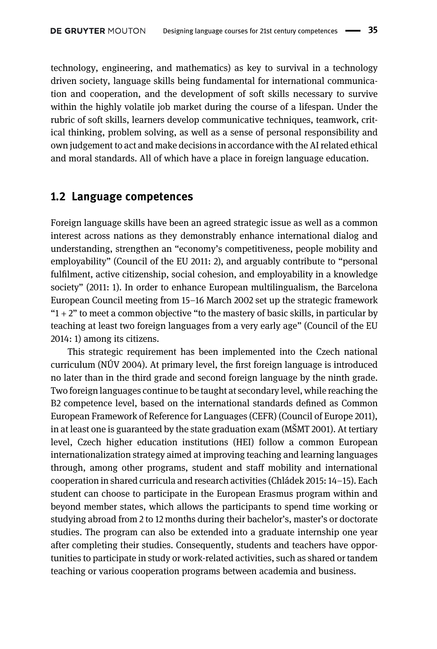technology, engineering, and mathematics) as key to survival in a technology driven society, language skills being fundamental for international communication and cooperation, and the development of soft skills necessary to survive within the highly volatile job market during the course of a lifespan. Under the rubric of soft skills, learners develop communicative techniques, teamwork, critical thinking, problem solving, as well as a sense of personal responsibility and own judgement to act and make decisions in accordance with the AI related ethical and moral standards. All of which have a place in foreign language education.

#### 1.2 Language competences

Foreign language skills have been an agreed strategic issue as well as a common interest across nations as they demonstrably enhance international dialog and understanding, strengthen an "economy's competitiveness, people mobility and employability" [\(Council of the EU 2011](#page-15-1): 2), and arguably contribute to "personal fulfilment, active citizenship, social cohesion, and employability in a knowledge society" (2011: 1). In order to enhance European multilingualism, the Barcelona European Council meeting from 15–16 March 2002 set up the strategic framework " $1 + 2$ " to meet a common objective "to the mastery of basic skills, in particular by teaching at least two foreign languages from a very early age" ([Council of the EU](#page-15-2) [2014](#page-15-2): 1) among its citizens.

This strategic requirement has been implemented into the Czech national curriculum [\(NÚV 2004\)](#page-16-4). At primary level, the first foreign language is introduced no later than in the third grade and second foreign language by the ninth grade. Two foreign languages continue to be taught at secondary level, while reaching the B2 competence level, based on the international standards defined as Common European Framework of Reference for Languages (CEFR) [\(Council of Europe 2011\)](#page-15-3), in at least one is guaranteed by the state graduation exam (MŠ[MT 2001\)](#page-15-0). At tertiary level, Czech higher education institutions (HEI) follow a common European internationalization strategy aimed at improving teaching and learning languages through, among other programs, student and staff mobility and international cooperation in shared curricula and research activities ([Chládek 2015](#page-15-4): 14–15). Each student can choose to participate in the European Erasmus program within and beyond member states, which allows the participants to spend time working or studying abroad from 2 to 12 months during their bachelor's, master's or doctorate studies. The program can also be extended into a graduate internship one year after completing their studies. Consequently, students and teachers have opportunities to participate in study or work-related activities, such as shared or tandem teaching or various cooperation programs between academia and business.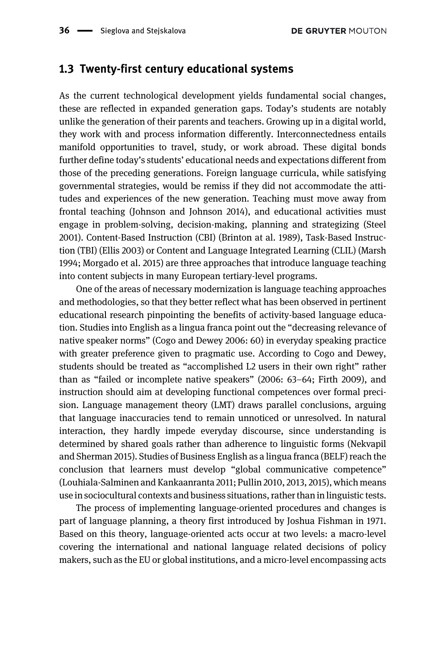#### 1.3 Twenty-first century educational systems

As the current technological development yields fundamental social changes, these are reflected in expanded generation gaps. Today's students are notably unlike the generation of their parents and teachers. Growing up in a digital world, they work with and process information differently. Interconnectedness entails manifold opportunities to travel, study, or work abroad. These digital bonds further define today's students' educational needs and expectations different from those of the preceding generations. Foreign language curricula, while satisfying governmental strategies, would be remiss if they did not accommodate the attitudes and experiences of the new generation. Teaching must move away from frontal teaching [\(Johnson and Johnson 2014](#page-15-5)), and educational activities must engage in problem-solving, decision-making, planning and strategizing ([Steel](#page-16-5) [2001](#page-16-5)). Content-Based Instruction (CBI) ([Brinton at al. 1989\)](#page-14-1), Task-Based Instruction (TBI) ([Ellis 2003\)](#page-15-6) or Content and Language Integrated Learning (CLIL) [\(Marsh](#page-15-7) [1994; Morgado et al. 2015](#page-15-7)) are three approaches that introduce language teaching into content subjects in many European tertiary-level programs.

One of the areas of necessary modernization is language teaching approaches and methodologies, so that they better reflect what has been observed in pertinent educational research pinpointing the benefits of activity-based language education. Studies into English as a lingua franca point out the "decreasing relevance of native speaker norms" [\(Cogo and Dewey 2006](#page-15-8): 60) in everyday speaking practice with greater preference given to pragmatic use. According to Cogo and Dewey, students should be treated as "accomplished L2 users in their own right" rather than as "failed or incomplete native speakers" [\(2006](#page-15-8): 63–64; [Firth 2009](#page-15-9)), and instruction should aim at developing functional competences over formal precision. Language management theory (LMT) draws parallel conclusions, arguing that language inaccuracies tend to remain unnoticed or unresolved. In natural interaction, they hardly impede everyday discourse, since understanding is determined by shared goals rather than adherence to linguistic forms [\(Nekvapil](#page-16-6) [and Sherman 2015](#page-16-6)). Studies of Business English as a lingua franca (BELF) reach the conclusion that learners must develop "global communicative competence" ([Louhiala-Salminen and Kankaanranta 2011](#page-15-10); [Pullin 2010,](#page-16-7) [2013,](#page-16-8) [2015](#page-16-9)), which means use in sociocultural contexts and business situations, rather than in linguistic tests.

The process of implementing language-oriented procedures and changes is part of language planning, a theory first introduced by [Joshua Fishman in 1971.](#page-15-11) Based on this theory, language-oriented acts occur at two levels: a macro-level covering the international and national language related decisions of policy makers, such as the EU or global institutions, and a micro-level encompassing acts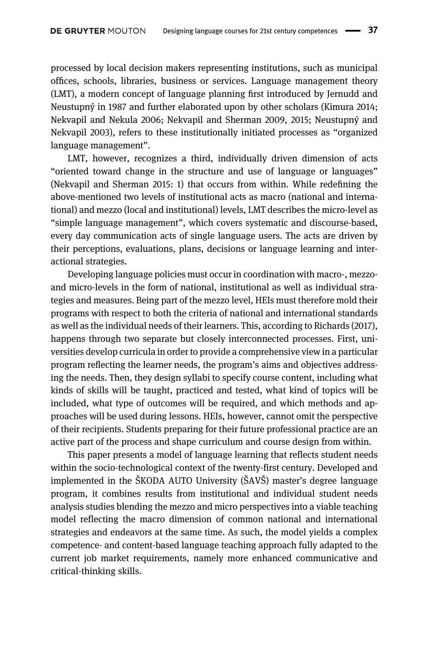processed by local decision makers representing institutions, such as municipal offices, schools, libraries, business or services. Language management theory (LMT), a modern concept of language planning first introduced by [Jernudd and](#page-15-12) [Neustupný in 1987](#page-15-12) and further elaborated upon by other scholars ([Kimura 2014;](#page-15-13) [Nekvapil and Nekula 2006;](#page-15-14) [Nekvapil and Sherman 2009](#page-16-10), [2015](#page-16-6); [Neustupný and](#page-16-11) [Nekvapil 2003](#page-16-11)), refers to these institutionally initiated processes as "organized language management".

LMT, however, recognizes a third, individually driven dimension of acts "oriented toward change in the structure and use of language or languages" [\(Nekvapil and Sherman 2015](#page-16-6): 1) that occurs from within. While redefining the above-mentioned two levels of institutional acts as macro (national and international) and mezzo (local and institutional) levels, LMT describes the micro-level as "simple language management", which covers systematic and discourse-based, every day communication acts of single language users. The acts are driven by their perceptions, evaluations, plans, decisions or language learning and interactional strategies.

Developing language policies must occur in coordination with macro-, mezzoand micro-levels in the form of national, institutional as well as individual strategies and measures. Being part of the mezzo level, HEIs must therefore mold their programs with respect to both the criteria of national and international standards as well as the individual needs of their learners. This, according to [Richards \(2017\)](#page-16-12), happens through two separate but closely interconnected processes. First, universities develop curricula in order to provide a comprehensive view in a particular program reflecting the learner needs, the program's aims and objectives addressing the needs. Then, they design syllabi to specify course content, including what kinds of skills will be taught, practiced and tested, what kind of topics will be included, what type of outcomes will be required, and which methods and approaches will be used during lessons. HEIs, however, cannot omit the perspective of their recipients. Students preparing for their future professional practice are an active part of the process and shape curriculum and course design from within.

This paper presents a model of language learning that reflects student needs within the socio-technological context of the twenty-first century. Developed and implemented in the ŠKODA AUTO University (ŠAVŠ) master's degree language program, it combines results from institutional and individual student needs analysis studies blending the mezzo and micro perspectives into a viable teaching model reflecting the macro dimension of common national and international strategies and endeavors at the same time. As such, the model yields a complex competence- and content-based language teaching approach fully adapted to the current job market requirements, namely more enhanced communicative and critical-thinking skills.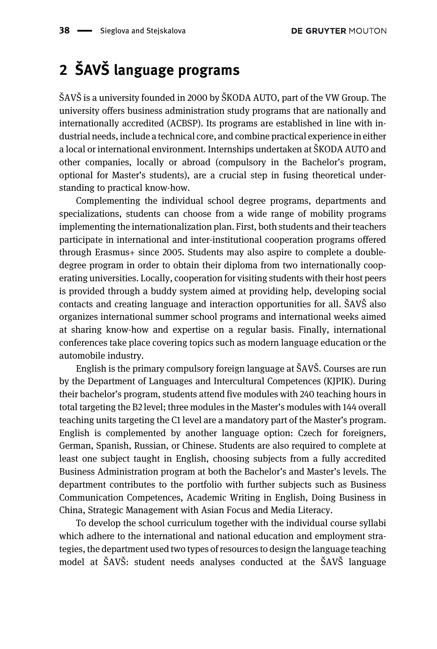## 2 ŠAVŠ language programs

ŠAVŠ is a university founded in 2000 by ŠKODA AUTO, part of the VW Group. The university offers business administration study programs that are nationally and internationally accredited (ACBSP). Its programs are established in line with industrial needs, include a technical core, and combine practical experience in either a local or international environment. Internships undertaken at ŠKODA AUTO and other companies, locally or abroad (compulsory in the Bachelor's program, optional for Master's students), are a crucial step in fusing theoretical understanding to practical know-how.

Complementing the individual school degree programs, departments and specializations, students can choose from a wide range of mobility programs implementing the internationalization plan. First, both students and their teachers participate in international and inter-institutional cooperation programs offered through Erasmus+ since 2005. Students may also aspire to complete a doubledegree program in order to obtain their diploma from two internationally cooperating universities. Locally, cooperation for visiting students with their host peers is provided through a buddy system aimed at providing help, developing social contacts and creating language and interaction opportunities for all. ŠAVŠ also organizes international summer school programs and international weeks aimed at sharing know-how and expertise on a regular basis. Finally, international conferences take place covering topics such as modern language education or the automobile industry.

English is the primary compulsory foreign language at ŠAVŠ. Courses are run by the Department of Languages and Intercultural Competences (KJPIK). During their bachelor's program, students attend five modules with 240 teaching hours in total targeting the B2 level; three modules in the Master's modules with 144 overall teaching units targeting the C1 level are a mandatory part of the Master's program. English is complemented by another language option: Czech for foreigners, German, Spanish, Russian, or Chinese. Students are also required to complete at least one subject taught in English, choosing subjects from a fully accredited Business Administration program at both the Bachelor's and Master's levels. The department contributes to the portfolio with further subjects such as Business Communication Competences, Academic Writing in English, Doing Business in China, Strategic Management with Asian Focus and Media Literacy.

To develop the school curriculum together with the individual course syllabi which adhere to the international and national education and employment strategies, the department used two types of resources to design the language teaching model at ŠAVŠ: student needs analyses conducted at the ŠAVŠ language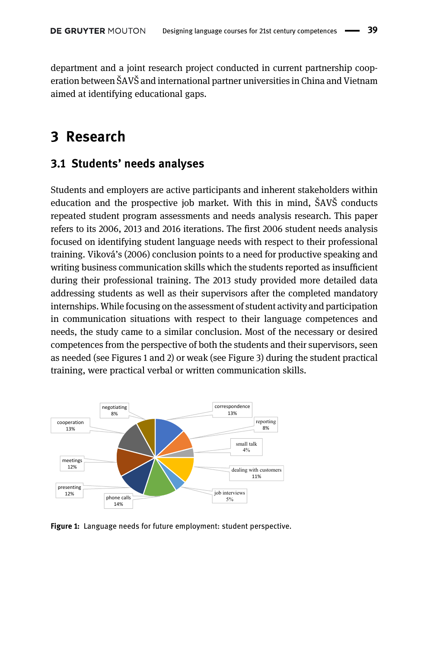department and a joint research project conducted in current partnership cooperation between ŠAVŠ and international partner universities in China and Vietnam aimed at identifying educational gaps.

### 3 Research

### 3.1 Students' needs analyses

Students and employers are active participants and inherent stakeholders within education and the prospective job market. With this in mind, ŠAVŠ conducts repeated student program assessments and needs analysis research. This paper refers to its 2006, 2013 and 2016 iterations. The first 2006 student needs analysis focused on identifying student language needs with respect to their professional training. Viková'[s \(2006\)](#page-16-13) conclusion points to a need for productive speaking and writing business communication skills which the students reported as insufficient during their professional training. The 2013 study provided more detailed data addressing students as well as their supervisors after the completed mandatory internships. While focusing on the assessment of student activity and participation in communication situations with respect to their language competences and needs, the study came to a similar conclusion. Most of the necessary or desired competences from the perspective of both the students and their supervisors, seen as needed (see [Figures 1 and 2](#page-6-0)) or weak (see [Figure 3](#page-7-0)) during the student practical training, were practical verbal or written communication skills.



<span id="page-6-0"></span>Figure 1: Language needs for future employment: student perspective.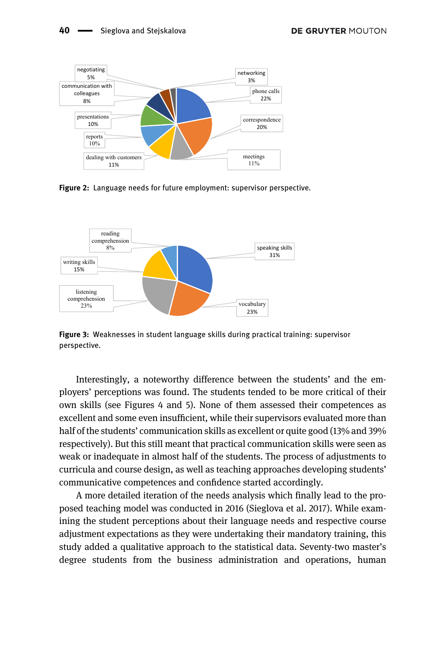

Figure 2: Language needs for future employment: supervisor perspective.



<span id="page-7-0"></span>Figure 3: Weaknesses in student language skills during practical training: supervisor perspective.

Interestingly, a noteworthy difference between the students' and the employers' perceptions was found. The students tended to be more critical of their own skills (see [Figures 4 and 5](#page-8-0)). None of them assessed their competences as excellent and some even insufficient, while their supervisors evaluated more than half of the students' communication skills as excellent or quite good (13% and 39% respectively). But this still meant that practical communication skills were seen as weak or inadequate in almost half of the students. The process of adjustments to curricula and course design, as well as teaching approaches developing students' communicative competences and confidence started accordingly.

A more detailed iteration of the needs analysis which finally lead to the proposed teaching model was conducted in 2016 [\(Sieglova et al. 2017\).](#page-16-14) While examining the student perceptions about their language needs and respective course adjustment expectations as they were undertaking their mandatory training, this study added a qualitative approach to the statistical data. Seventy-two master's degree students from the business administration and operations, human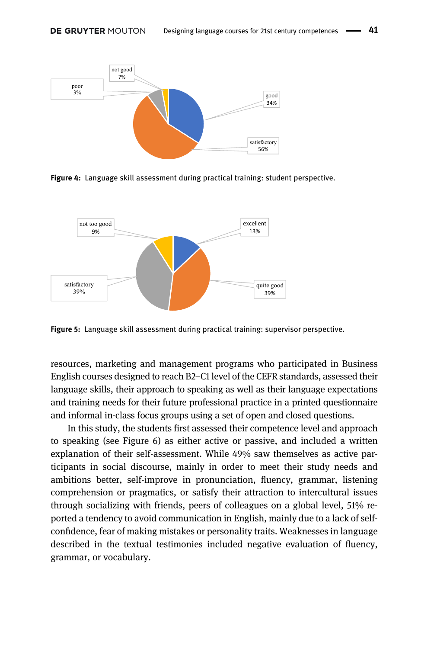

<span id="page-8-0"></span>Figure 4: Language skill assessment during practical training: student perspective.



Figure 5: Language skill assessment during practical training: supervisor perspective.

resources, marketing and management programs who participated in Business English courses designed to reach B2–C1 level of the CEFR standards, assessed their language skills, their approach to speaking as well as their language expectations and training needs for their future professional practice in a printed questionnaire and informal in-class focus groups using a set of open and closed questions.

In this study, the students first assessed their competence level and approach to speaking (see [Figure 6\)](#page-9-0) as either active or passive, and included a written explanation of their self-assessment. While 49% saw themselves as active participants in social discourse, mainly in order to meet their study needs and ambitions better, self-improve in pronunciation, fluency, grammar, listening comprehension or pragmatics, or satisfy their attraction to intercultural issues through socializing with friends, peers of colleagues on a global level, 51% reported a tendency to avoid communication in English, mainly due to a lack of selfconfidence, fear of making mistakes or personality traits. Weaknesses in language described in the textual testimonies included negative evaluation of fluency, grammar, or vocabulary.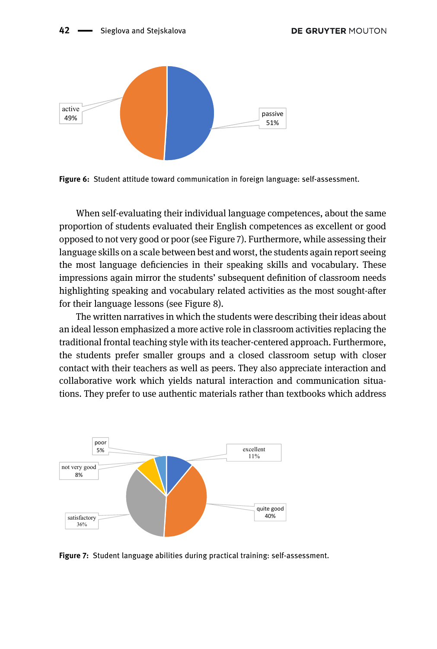#### 42 - Sieglova and Stejskalova



<span id="page-9-0"></span>Figure 6: Student attitude toward communication in foreign language: self-assessment.

When self-evaluating their individual language competences, about the same proportion of students evaluated their English competences as excellent or good opposed to not very good or poor (see [Figure 7](#page-9-1)). Furthermore, while assessing their language skills on a scale between best and worst, the students again report seeing the most language deficiencies in their speaking skills and vocabulary. These impressions again mirror the students' subsequent definition of classroom needs highlighting speaking and vocabulary related activities as the most sought-after for their language lessons (see [Figure 8](#page-10-0)).

The written narratives in which the students were describing their ideas about an ideal lesson emphasized a more active role in classroom activities replacing the traditional frontal teaching style with its teacher-centered approach. Furthermore, the students prefer smaller groups and a closed classroom setup with closer contact with their teachers as well as peers. They also appreciate interaction and collaborative work which yields natural interaction and communication situations. They prefer to use authentic materials rather than textbooks which address



<span id="page-9-1"></span>Figure 7: Student language abilities during practical training: self-assessment.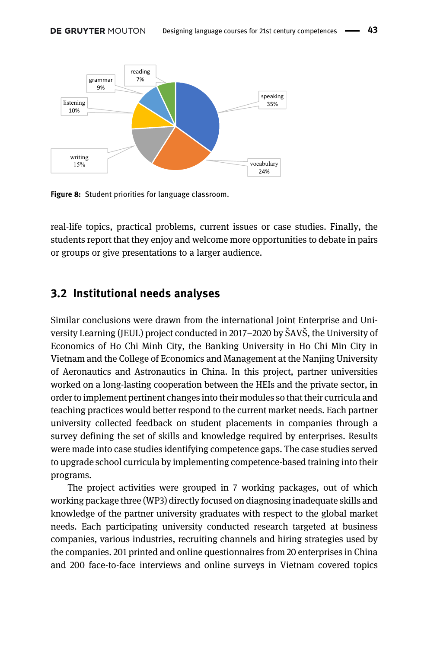

<span id="page-10-0"></span>Figure 8: Student priorities for language classroom.

15%

real-life topics, practical problems, current issues or case studies. Finally, the students report that they enjoy and welcome more opportunities to debate in pairs or groups or give presentations to a larger audience.

vocabulary 24%

#### 3.2 Institutional needs analyses

Similar conclusions were drawn from the international Joint Enterprise and University Learning (JEUL) project conducted in 2017–2020 by ŠAVŠ, the University of Economics of Ho Chi Minh City, the Banking University in Ho Chi Min City in Vietnam and the College of Economics and Management at the Nanjing University of Aeronautics and Astronautics in China. In this project, partner universities worked on a long-lasting cooperation between the HEIs and the private sector, in order to implement pertinent changes into their modules so that their curricula and teaching practices would better respond to the current market needs. Each partner university collected feedback on student placements in companies through a survey defining the set of skills and knowledge required by enterprises. Results were made into case studies identifying competence gaps. The case studies served to upgrade school curricula by implementing competence-based training into their programs.

The project activities were grouped in 7 working packages, out of which working package three (WP3) directly focused on diagnosing inadequate skills and knowledge of the partner university graduates with respect to the global market needs. Each participating university conducted research targeted at business companies, various industries, recruiting channels and hiring strategies used by the companies. 201 printed and online questionnaires from 20 enterprises in China and 200 face-to-face interviews and online surveys in Vietnam covered topics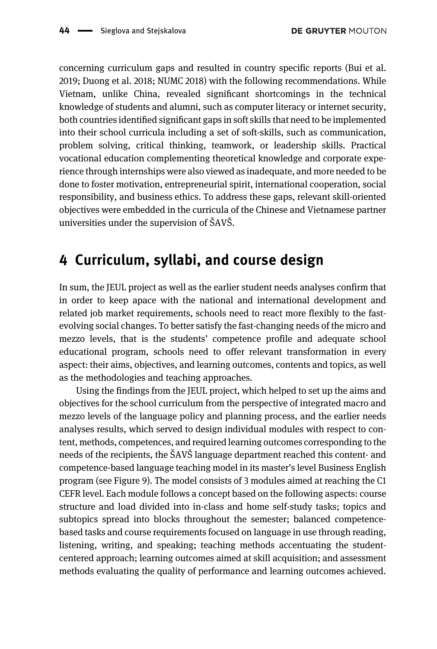concerning curriculum gaps and resulted in country specific reports [\(Bui et al.](#page-14-2) [2019;](#page-14-2) [Duong et al. 2018](#page-15-15); [NUMC 2018\)](#page-16-15) with the following recommendations. While Vietnam, unlike China, revealed significant shortcomings in the technical knowledge of students and alumni, such as computer literacy or internet security, both countries identified significant gaps in soft skills that need to be implemented into their school curricula including a set of soft-skills, such as communication, problem solving, critical thinking, teamwork, or leadership skills. Practical vocational education complementing theoretical knowledge and corporate experience through internships were also viewed as inadequate, and more needed to be done to foster motivation, entrepreneurial spirit, international cooperation, social responsibility, and business ethics. To address these gaps, relevant skill-oriented objectives were embedded in the curricula of the Chinese and Vietnamese partner universities under the supervision of ŠAVŠ.

## 4 Curriculum, syllabi, and course design

In sum, the JEUL project as well as the earlier student needs analyses confirm that in order to keep apace with the national and international development and related job market requirements, schools need to react more flexibly to the fastevolving social changes. To better satisfy the fast-changing needs of the micro and mezzo levels, that is the students' competence profile and adequate school educational program, schools need to offer relevant transformation in every aspect: their aims, objectives, and learning outcomes, contents and topics, as well as the methodologies and teaching approaches.

Using the findings from the JEUL project, which helped to set up the aims and objectives for the school curriculum from the perspective of integrated macro and mezzo levels of the language policy and planning process, and the earlier needs analyses results, which served to design individual modules with respect to content, methods, competences, and required learning outcomes corresponding to the needs of the recipients, the ŠAVŠ language department reached this content- and competence-based language teaching model in its master's level Business English program (see [Figure 9\)](#page-12-0). The model consists of 3 modules aimed at reaching the C1 CEFR level. Each module follows a concept based on the following aspects: course structure and load divided into in-class and home self-study tasks; topics and subtopics spread into blocks throughout the semester; balanced competencebased tasks and course requirements focused on language in use through reading, listening, writing, and speaking; teaching methods accentuating the studentcentered approach; learning outcomes aimed at skill acquisition; and assessment methods evaluating the quality of performance and learning outcomes achieved.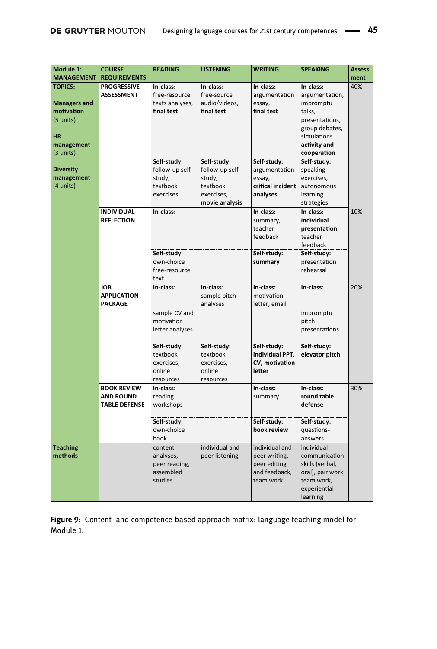| Module 1:<br><b>MANAGEMENT</b>                                                                             | <b>COURSE</b><br><b>REQUIREMENTS</b>                           | <b>READING</b>                                                                   | <b>LISTENING</b>                                                             | <b>WRITING</b>                                                                | <b>SPEAKING</b>                                                                                                                                    | <b>Assess</b><br>ment |
|------------------------------------------------------------------------------------------------------------|----------------------------------------------------------------|----------------------------------------------------------------------------------|------------------------------------------------------------------------------|-------------------------------------------------------------------------------|----------------------------------------------------------------------------------------------------------------------------------------------------|-----------------------|
| <b>TOPICS:</b>                                                                                             | <b>PROGRESSIVE</b>                                             | In-class:                                                                        | In-class:                                                                    | In-class:                                                                     | In-class:                                                                                                                                          | 40%                   |
| <b>Managers and</b><br>motivation<br>(5 units)<br><b>HR</b><br>management<br>(3 units)<br><b>Diversity</b> | <b>ASSESSMENT</b>                                              | free-resource<br>texts analyses,<br>final test<br>Self-study:<br>follow-up self- | free-source<br>audio/videos,<br>final test<br>Self-study:<br>follow-up self- | argumentation<br>essay,<br>final test<br>Self-study:<br>argumentation         | argumentation,<br>impromptu<br>talks,<br>presentations,<br>group debates,<br>simulations<br>activity and<br>cooperation<br>Self-study:<br>speaking |                       |
| management<br>(4 units)                                                                                    |                                                                | study,<br>textbook<br>exercises                                                  | study,<br>textbook<br>exercises,<br>movie analysis                           | essay,<br>critical incident<br>analyses                                       | exercises,<br>autonomous<br>learning<br>strategies                                                                                                 |                       |
|                                                                                                            | <b>INDIVIDUAL</b><br><b>REFLECTION</b>                         | In-class:                                                                        |                                                                              | In-class:<br>summary,<br>teacher<br>feedback                                  | In-class:<br>individual<br>presentation,<br>teacher<br>feedback                                                                                    | 10%                   |
|                                                                                                            |                                                                | Self-study:<br>own-choice<br>free-resource<br>text                               |                                                                              | Self-study:<br>summary                                                        | Self-study:<br>presentation<br>rehearsal                                                                                                           |                       |
|                                                                                                            | <b>JOB</b><br><b>APPLICATION</b><br>PACKAGE                    | In-class:                                                                        | In-class:<br>sample pitch<br>analyses                                        | In-class:<br>motivation<br>letter, email                                      | In-class:                                                                                                                                          | 20%                   |
|                                                                                                            |                                                                | sample CV and<br>motivation<br>letter analyses                                   |                                                                              |                                                                               | impromptu<br>pitch<br>presentations                                                                                                                |                       |
|                                                                                                            |                                                                | Self-study:<br>textbook<br>exercises,<br>online<br>resources                     | Self-study:<br>textbook<br>exercises,<br>online<br>resources                 | Self-study:<br>individual PPT,<br>CV, motivation<br>letter                    | Self-study:<br>elevator pitch                                                                                                                      |                       |
|                                                                                                            | <b>BOOK REVIEW</b><br><b>AND ROUND</b><br><b>TABLE DEFENSE</b> | In-class:<br>reading<br>workshops                                                |                                                                              | In-class:<br>summary                                                          | In-class:<br>round table<br>defense                                                                                                                | 30%                   |
|                                                                                                            |                                                                | Self-study:<br>own-choice<br>book                                                |                                                                              | Self-study:<br>book review                                                    | Self-study:<br>questions-<br>answers                                                                                                               |                       |
| <b>Teaching</b><br>methods                                                                                 |                                                                | content<br>analyses,<br>peer reading,<br>assembled<br>studies                    | individual and<br>peer listening                                             | individual and<br>peer writing,<br>peer editing<br>and feedback,<br>team work | individual<br>communication<br>skills (verbal,<br>oral), pair work,<br>team work,<br>experiential<br>learning                                      |                       |

<span id="page-12-0"></span>Figure 9: Content- and competence-based approach matrix: language teaching model for Module 1.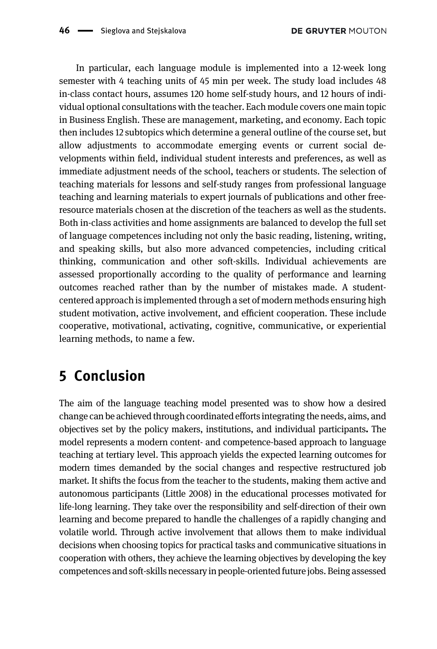In particular, each language module is implemented into a 12-week long semester with 4 teaching units of 45 min per week. The study load includes 48 in-class contact hours, assumes 120 home self-study hours, and 12 hours of individual optional consultations with the teacher. Each module covers one main topic in Business English. These are management, marketing, and economy. Each topic then includes 12 subtopics which determine a general outline of the course set, but allow adjustments to accommodate emerging events or current social developments within field, individual student interests and preferences, as well as immediate adjustment needs of the school, teachers or students. The selection of teaching materials for lessons and self-study ranges from professional language teaching and learning materials to expert journals of publications and other freeresource materials chosen at the discretion of the teachers as well as the students. Both in-class activities and home assignments are balanced to develop the full set of language competences including not only the basic reading, listening, writing, and speaking skills, but also more advanced competencies, including critical thinking, communication and other soft-skills. Individual achievements are assessed proportionally according to the quality of performance and learning outcomes reached rather than by the number of mistakes made. A studentcentered approach is implemented through a set of modern methods ensuring high student motivation, active involvement, and efficient cooperation. These include cooperative, motivational, activating, cognitive, communicative, or experiential learning methods, to name a few.

## 5 Conclusion

The aim of the language teaching model presented was to show how a desired change can be achieved through coordinated efforts integrating the needs, aims, and objectives set by the policy makers, institutions, and individual participants. The model represents a modern content- and competence-based approach to language teaching at tertiary level. This approach yields the expected learning outcomes for modern times demanded by the social changes and respective restructured job market. It shifts the focus from the teacher to the students, making them active and autonomous participants [\(Little 2008](#page-15-16)) in the educational processes motivated for life-long learning. They take over the responsibility and self-direction of their own learning and become prepared to handle the challenges of a rapidly changing and volatile world. Through active involvement that allows them to make individual decisions when choosing topics for practical tasks and communicative situations in cooperation with others, they achieve the learning objectives by developing the key competences and soft-skills necessary in people-oriented future jobs. Being assessed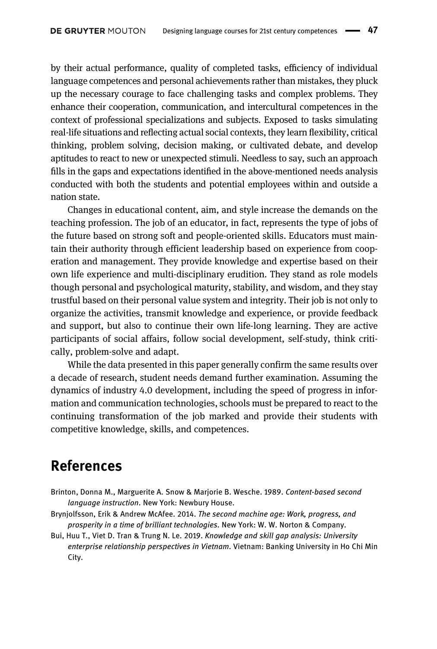by their actual performance, quality of completed tasks, efficiency of individual language competences and personal achievements rather than mistakes, they pluck up the necessary courage to face challenging tasks and complex problems. They enhance their cooperation, communication, and intercultural competences in the context of professional specializations and subjects. Exposed to tasks simulating real-life situations and reflecting actual social contexts, they learn flexibility, critical thinking, problem solving, decision making, or cultivated debate, and develop aptitudes to react to new or unexpected stimuli. Needless to say, such an approach fills in the gaps and expectations identified in the above-mentioned needs analysis conducted with both the students and potential employees within and outside a nation state.

Changes in educational content, aim, and style increase the demands on the teaching profession. The job of an educator, in fact, represents the type of jobs of the future based on strong soft and people-oriented skills. Educators must maintain their authority through efficient leadership based on experience from cooperation and management. They provide knowledge and expertise based on their own life experience and multi-disciplinary erudition. They stand as role models though personal and psychological maturity, stability, and wisdom, and they stay trustful based on their personal value system and integrity. Their job is not only to organize the activities, transmit knowledge and experience, or provide feedback and support, but also to continue their own life-long learning. They are active participants of social affairs, follow social development, self-study, think critically, problem-solve and adapt.

While the data presented in this paper generally confirm the same results over a decade of research, student needs demand further examination. Assuming the dynamics of industry 4.0 development, including the speed of progress in information and communication technologies, schools must be prepared to react to the continuing transformation of the job marked and provide their students with competitive knowledge, skills, and competences.

### References

- <span id="page-14-1"></span>Brinton, Donna M., Marguerite A. Snow & Marjorie B. Wesche. 1989. Content-based second language instruction. New York: Newbury House.
- <span id="page-14-0"></span>Brynjolfsson, Erik & Andrew McAfee. 2014. The second machine age: Work, progress, and prosperity in a time of brilliant technologies. New York: W. W. Norton & Company.
- <span id="page-14-2"></span>Bui, Huu T., Viet D. Tran & Trung N. Le. 2019. Knowledge and skill gap analysis: University enterprise relationship perspectives in Vietnam. Vietnam: Banking University in Ho Chi Min City.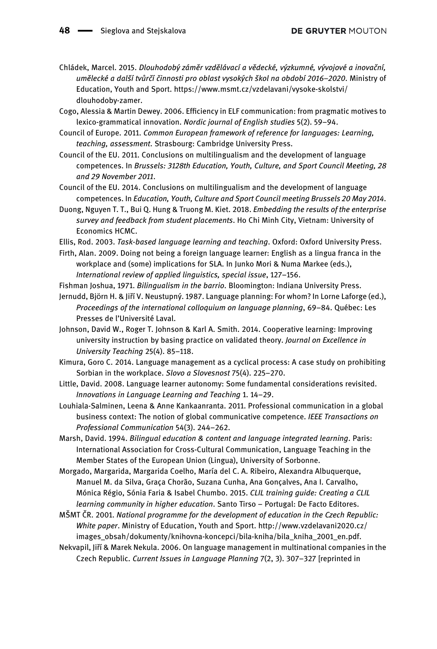<span id="page-15-4"></span>Chládek, Marcel. 2015. Dlouhodobý záměr vzdělávací a vědecké, výzkumné, vývojové a inovační, umělecké a další tvůrčí činnosti pro oblast vysokých škol na období 2016–2020. Ministry of Education, Youth and Sport. [https://www.msmt.cz/vzdelavani/vysoke-skolstvi/](https://www.msmt.cz/vzdelavani/vysoke-skolstvi/dlouhodoby-zamer) [dlouhodoby-zamer](https://www.msmt.cz/vzdelavani/vysoke-skolstvi/dlouhodoby-zamer).

<span id="page-15-8"></span>Cogo, Alessia & Martin Dewey. 2006. Efficiency in ELF communication: from pragmatic motives to lexico-grammatical innovation. Nordic journal of English studies 5(2). 59–94.

<span id="page-15-3"></span>Council of Europe. 2011. Common European framework of reference for languages: Learning, teaching, assessment. Strasbourg: Cambridge University Press.

<span id="page-15-1"></span>Council of the EU. 2011. Conclusions on multilingualism and the development of language competences. In Brussels: 3128th Education, Youth, Culture, and Sport Council Meeting, 28 and 29 November 2011.

<span id="page-15-2"></span>Council of the EU. 2014. Conclusions on multilingualism and the development of language competences. In Education, Youth, Culture and Sport Council meeting Brussels 20 May 2014.

<span id="page-15-15"></span>Duong, Nguyen T. T., Bui Q. Hung & Truong M. Kiet. 2018. Embedding the results of the enterprise survey and feedback from student placements. Ho Chi Minh City, Vietnam: University of Economics HCMC.

<span id="page-15-6"></span>Ellis, Rod. 2003. Task-based language learning and teaching. Oxford: Oxford University Press.

<span id="page-15-9"></span>Firth, Alan. 2009. Doing not being a foreign language learner: English as a lingua franca in the workplace and (some) implications for SLA. In Junko Mori & Numa Markee (eds.), International review of applied linguistics, special issue, 127–156.

<span id="page-15-11"></span>Fishman Joshua, 1971. Bilingualism in the barrio. Bloomington: Indiana University Press.

<span id="page-15-12"></span>Jernudd, Björn H. & Jiří V. Neustupný. 1987. Language planning: For whom? In Lorne Laforge (ed.), Proceedings of the international colloquium on language planning, 69–84. Québec: Les Presses de l'Université Laval.

<span id="page-15-5"></span>Johnson, David W., Roger T. Johnson & Karl A. Smith. 2014. Cooperative learning: Improving university instruction by basing practice on validated theory. Journal on Excellence in University Teaching 25(4). 85–118.

<span id="page-15-13"></span>Kimura, Goro C. 2014. Language management as a cyclical process: A case study on prohibiting Sorbian in the workplace. Slovo a Slovesnost 75(4). 225–270.

<span id="page-15-16"></span>Little, David. 2008. Language learner autonomy: Some fundamental considerations revisited. Innovations in Language Learning and Teaching 1. 14–29.

<span id="page-15-10"></span>Louhiala-Salminen, Leena & Anne Kankaanranta. 2011. Professional communication in a global business context: The notion of global communicative competence. IEEE Transactions on Professional Communication 54(3). 244–262.

<span id="page-15-7"></span>Marsh, David. 1994. Bilingual education & content and language integrated learning. Paris: International Association for Cross-Cultural Communication, Language Teaching in the Member States of the European Union (Lingua), University of Sorbonne.

Morgado, Margarida, Margarida Coelho, María del C. A. Ribeiro, Alexandra Albuquerque, Manuel M. da Silva, Graça Chorão, Suzana Cunha, Ana Gonçalves, Ana I. Carvalho, Mónica Régio, Sónia Faria & Isabel Chumbo. 2015. CLIL training guide: Creating a CLIL learning community in higher education. Santo Tirso – Portugal: De Facto Editores.

<span id="page-15-0"></span>MŠMT ČR. 2001. National programme for the development of education in the Czech Republic: White paper. Ministry of Education, Youth and Sport. [http://www.vzdelavani2020.cz/](http://www.vzdelavani2020.cz/images_obsah/dokumenty/knihovna-koncepci/bila-kniha/bila_kniha_2001_en.pdf) [images\\_obsah/dokumenty/knihovna-koncepci/bila-kniha/bila\\_kniha\\_2001\\_en.pdf](http://www.vzdelavani2020.cz/images_obsah/dokumenty/knihovna-koncepci/bila-kniha/bila_kniha_2001_en.pdf).

<span id="page-15-14"></span>Nekvapil, Jiří & Marek Nekula. 2006. On language management in multinational companies in the Czech Republic. Current Issues in Language Planning 7(2, 3). 307–327 [reprinted in